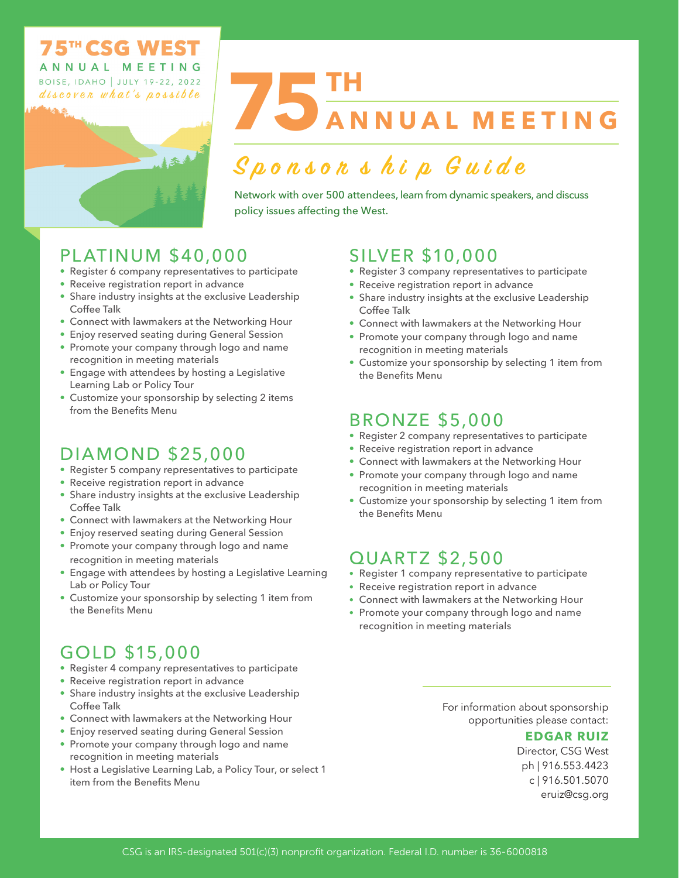#### **TH CISC WEST** ANNUAL MEETING **BOISE, IDAHO | JULY 19-22, 2022**

discover what's possible

# **75TH ANNUAL MEETING**

# **Sponsor s h i p G u ide**

Network with over 500 attendees, learn from dynamic speakers, and discuss policy issues affecting the West.

# PLATINUM \$40,000

- Register 6 company representatives to participate
- Receive registration report in advance
- Share industry insights at the exclusive Leadership Coffee Talk
- Connect with lawmakers at the Networking Hour
- Enjoy reserved seating during General Session
- Promote your company through logo and name recognition in meeting materials
- Engage with attendees by hosting a Legislative Learning Lab or Policy Tour
- Customize your sponsorship by selecting 2 items from the Benefits Menu

# DIAMOND \$25,000

- Register 5 company representatives to participate
- Receive registration report in advance
- Share industry insights at the exclusive Leadership Coffee Talk
- Connect with lawmakers at the Networking Hour
- Enjoy reserved seating during General Session
- Promote your company through logo and name recognition in meeting materials
- Engage with attendees by hosting a Legislative Learning Lab or Policy Tour
- Customize your sponsorship by selecting 1 item from the Benefits Menu

# GOLD \$15,000

- Register 4 company representatives to participate
- Receive registration report in advance
- Share industry insights at the exclusive Leadership Coffee Talk
- Connect with lawmakers at the Networking Hour
- Enjoy reserved seating during General Session
- Promote your company through logo and name recognition in meeting materials
- Host a Legislative Learning Lab, a Policy Tour, or select 1 item from the Benefits Menu

## SILVER \$10,000

- Register 3 company representatives to participate
- Receive registration report in advance
- Share industry insights at the exclusive Leadership Coffee Talk
- Connect with lawmakers at the Networking Hour
- Promote your company through logo and name recognition in meeting materials
- Customize your sponsorship by selecting 1 item from the Benefits Menu

### BRONZE \$5,000

- Register 2 company representatives to participate
- Receive registration report in advance
- Connect with lawmakers at the Networking Hour
- Promote your company through logo and name recognition in meeting materials
- Customize your sponsorship by selecting 1 item from the Benefits Menu

### QUARTZ \$2,500

- Register 1 company representative to participate
- Receive registration report in advance
- Connect with lawmakers at the Networking Hour
- Promote your company through logo and name recognition in meeting materials

For information about sponsorship opportunities please contact:

#### **EDGAR RUIZ**

Director, CSG West ph | 916.553.4423 c | 916.501.5070 eruiz@csg.org